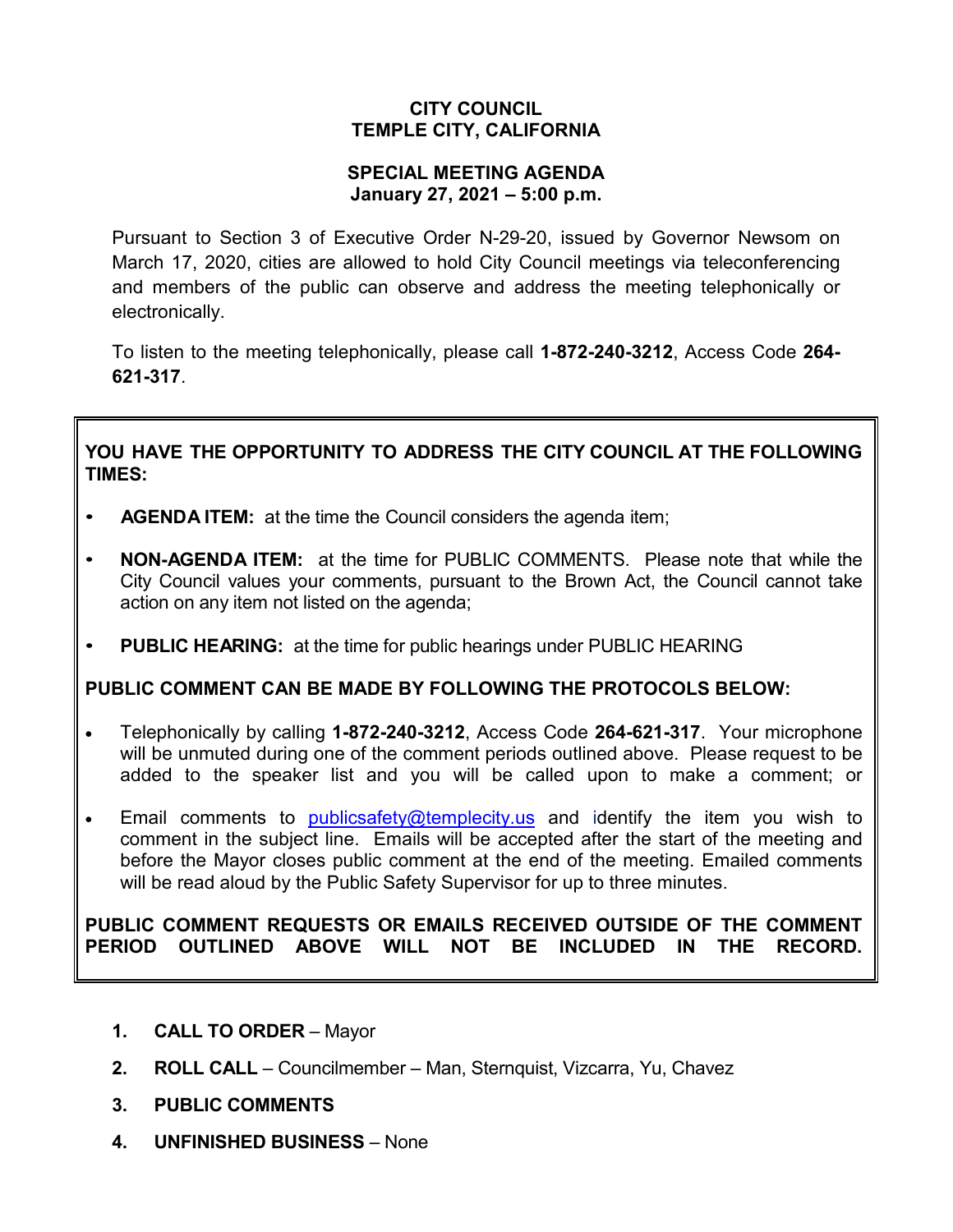### **CITY COUNCIL TEMPLE CITY, CALIFORNIA**

### **SPECIAL MEETING AGENDA January 27, 2021 – 5:00 p.m.**

Pursuant to Section 3 of Executive Order N-29-20, issued by Governor Newsom on March 17, 2020, cities are allowed to hold City Council meetings via teleconferencing and members of the public can observe and address the meeting telephonically or electronically.

To listen to the meeting telephonically, please call **1-872-240-3212**, Access Code **264- 621-317**.

# **YOU HAVE THE OPPORTUNITY TO ADDRESS THE CITY COUNCIL AT THE FOLLOWING TIMES:**

- **AGENDA ITEM:** at the time the Council considers the agenda item;
- **NON-AGENDA ITEM:** at the time for PUBLIC COMMENTS. Please note that while the City Council values your comments, pursuant to the Brown Act, the Council cannot take action on any item not listed on the agenda;
- **PUBLIC HEARING:** at the time for public hearings under PUBLIC HEARING

# **PUBLIC COMMENT CAN BE MADE BY FOLLOWING THE PROTOCOLS BELOW:**

- Telephonically by calling **1-872-240-3212**, Access Code **264-621-317**. Your microphone will be unmuted during one of the comment periods outlined above. Please request to be added to the speaker list and you will be called upon to make a comment; or
- Email comments to [publicsafety@templecity.us](mailto:publicsafety@templecity.us) and identify the item you wish to comment in the subject line. Emails will be accepted after the start of the meeting and before the Mayor closes public comment at the end of the meeting. Emailed comments will be read aloud by the Public Safety Supervisor for up to three minutes.

### **PUBLIC COMMENT REQUESTS OR EMAILS RECEIVED OUTSIDE OF THE COMMENT PERIOD OUTLINED ABOVE WILL NOT BE INCLUDED IN THE RECORD.**

- **1. CALL TO ORDER** Mayor
- **2. ROLL CALL** Councilmember Man, Sternquist, Vizcarra, Yu, Chavez
- **3. PUBLIC COMMENTS**
- **4. UNFINISHED BUSINESS** None